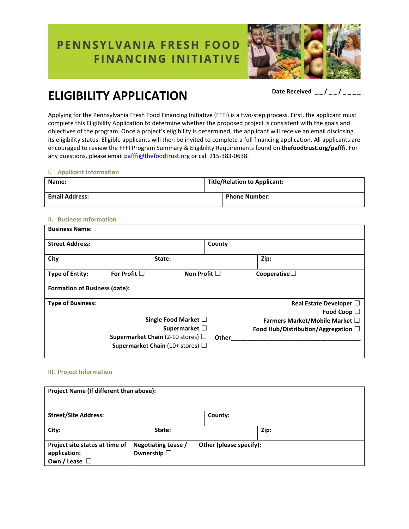# PENNSYLVANIA FRESH FOOD **FINANCING INITIATIVE**



# **ELIGIBILITY APPLICATION** Date Received  $-2$  /  $-1$

Applying for the Pennsylvania Fresh Food Financing Initiative (FFFI) is a two-step process. First, the applicant must complete this Eligibility Application to determine whether the proposed project is consistent with the goals and objectives of the program. Once a project's eligibility is determined, the applicant will receive an email disclosing its eligibility status. Eligible applicants will then be invited to complete a full financing application. All applicants are encouraged to review the FFFI Program Summary & Eligibility Requirements found on **thefoodtrust.org/pafffi**. For any questions, please email [pafffi@thefoodtrust.org](mailto:pafffi@thefoodtrust.org) or call 215-383-0638.

### **I. Applicant Information**

| Name:                 | <b>Title/Relation to Applicant:</b> |                      |
|-----------------------|-------------------------------------|----------------------|
| <b>Email Address:</b> |                                     | <b>Phone Number:</b> |

## **II. Business Information**

| <b>Business Name:</b>                |                   |                                               |        |                                     |
|--------------------------------------|-------------------|-----------------------------------------------|--------|-------------------------------------|
| <b>Street Address:</b>               |                   |                                               | County |                                     |
| City                                 |                   | State:                                        |        | Zip:                                |
| <b>Type of Entity:</b>               | For Profit $\Box$ | Non Profit $\Box$                             |        | Cooperative $\square$               |
| <b>Formation of Business (date):</b> |                   |                                               |        |                                     |
| <b>Type of Business:</b>             |                   |                                               |        | Real Estate Developer $\Box$        |
|                                      |                   |                                               |        | Food Coop $\square$                 |
|                                      |                   | Single Food Market $\square$                  |        | Farmers Market/Mobile Market □      |
|                                      |                   | Supermarket $\square$                         |        | Food Hub/Distribution/Aggregation □ |
|                                      |                   | <b>Supermarket Chain</b> (2-10 stores) $\Box$ | Other  |                                     |
|                                      |                   | <b>Supermarket Chain</b> (10+ stores) $\Box$  |        |                                     |

#### **III. Project Information**

| Project Name (If different than above):                                 |  |                                            |                         |         |      |  |
|-------------------------------------------------------------------------|--|--------------------------------------------|-------------------------|---------|------|--|
| <b>Street/Site Address:</b>                                             |  |                                            |                         | County: |      |  |
| City:                                                                   |  | State:                                     |                         |         | Zip: |  |
| Project site status at time of<br>application:<br>Own / Lease $\square$ |  | Negotiating Lease /<br>Ownership $\square$ | Other (please specify): |         |      |  |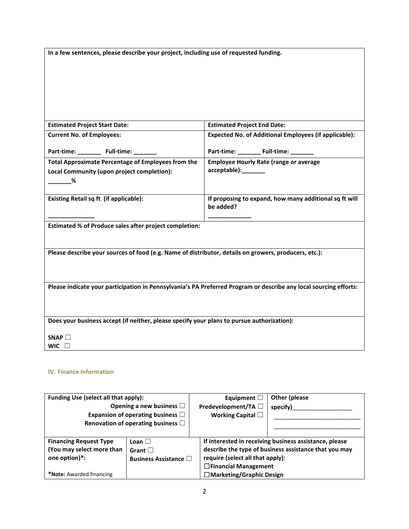**In a few sentences, please describe your project, including use of requested funding.**

| <b>Estimated Project Start Date:</b>                                                                              | <b>Estimated Project End Date:</b>                           |
|-------------------------------------------------------------------------------------------------------------------|--------------------------------------------------------------|
| <b>Current No. of Employees:</b>                                                                                  | <b>Expected No. of Additional Employees (if applicable):</b> |
| Part-time: _______ Full-time: ______                                                                              | Part-time: _______ Full-time: ______                         |
| <b>Total Approximate Percentage of Employees from the</b>                                                         | <b>Employee Hourly Rate (range or average</b>                |
| Local Community (upon project completion):                                                                        | acceptable):_______                                          |
|                                                                                                                   |                                                              |
| Existing Retail sq ft (if applicable):                                                                            | If proposing to expand, how many additional sq ft will       |
|                                                                                                                   | be added?                                                    |
| Estimated % of Produce sales after project completion:                                                            |                                                              |
|                                                                                                                   |                                                              |
| Please describe your sources of food (e.g. Name of distributor, details on growers, producers, etc.):             |                                                              |
|                                                                                                                   |                                                              |
|                                                                                                                   |                                                              |
| Please indicate your participation in Pennsylvania's PA Preferred Program or describe any local sourcing efforts: |                                                              |
|                                                                                                                   |                                                              |
|                                                                                                                   |                                                              |
| Does your business accept (if neither, please specify your plans to pursue authorization):                        |                                                              |
|                                                                                                                   |                                                              |
| SNAP                                                                                                              |                                                              |
| WIC $\square$                                                                                                     |                                                              |

# **IV. Finance Information**

| Funding Use (select all that apply):                                                                    | Opening a new business $\Box$<br>Expansion of operating business $\Box$<br>Renovation of operating business $\Box$ | Equipment $\Box$<br>Predevelopment/TA □<br>Working Capital $\square$                          | Other (please<br>specify)                                                                                       |
|---------------------------------------------------------------------------------------------------------|--------------------------------------------------------------------------------------------------------------------|-----------------------------------------------------------------------------------------------|-----------------------------------------------------------------------------------------------------------------|
| <b>Financing Request Type</b><br>(You may select more than<br>one option)*:<br>*Note: Awarded financing | Loan $\Box$<br>Grant $\Box$<br><b>Business Assistance</b> □                                                        | require (select all that apply):<br>$\Box$ Financial Management<br>□ Marketing/Graphic Design | If interested in receiving business assistance, please<br>describe the type of business assistance that you may |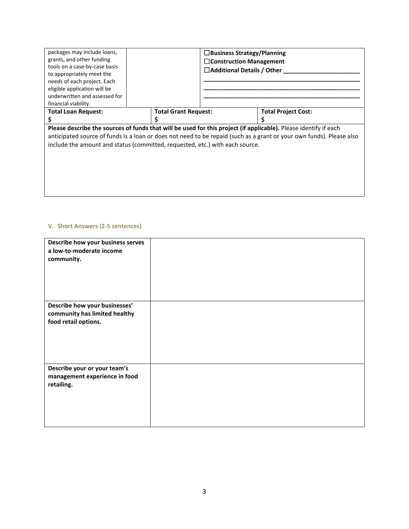|                                                                                                                                                                                                      | $\square$ Business Strategy/Planning<br>$\Box$ Construction Management<br>$\Box$ Additional Details / Other |                             |  |  |
|------------------------------------------------------------------------------------------------------------------------------------------------------------------------------------------------------|-------------------------------------------------------------------------------------------------------------|-----------------------------|--|--|
|                                                                                                                                                                                                      |                                                                                                             |                             |  |  |
|                                                                                                                                                                                                      | <b>Total Project Cost:</b>                                                                                  |                             |  |  |
| Please describe the sources of funds that will be used for this project (if applicable). Please identify if each                                                                                     |                                                                                                             |                             |  |  |
| anticipated source of funds is a loan or does not need to be repaid (such as a grant or your own funds). Please also<br>include the amount and status (committed, requested, etc.) with each source. |                                                                                                             |                             |  |  |
|                                                                                                                                                                                                      |                                                                                                             |                             |  |  |
|                                                                                                                                                                                                      |                                                                                                             |                             |  |  |
|                                                                                                                                                                                                      |                                                                                                             |                             |  |  |
|                                                                                                                                                                                                      |                                                                                                             |                             |  |  |
|                                                                                                                                                                                                      |                                                                                                             | <b>Total Grant Request:</b> |  |  |

## **V. Short Answers (2-5 sentences)**

Π

| Describe how your business serves<br>a low-to-moderate income<br>community.            |  |
|----------------------------------------------------------------------------------------|--|
| Describe how your businesses'<br>community has limited healthy<br>food retail options. |  |
| Describe your or your team's<br>management experience in food<br>retailing.            |  |